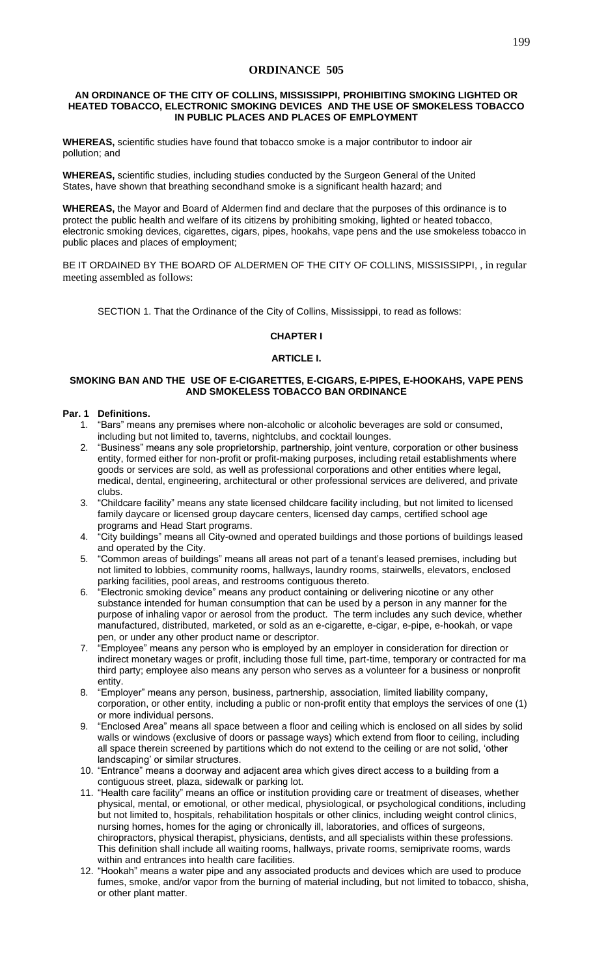# **ORDINANCE 505**

#### **AN ORDINANCE OF THE CITY OF COLLINS, MISSISSIPPI, PROHIBITING SMOKING LIGHTED OR HEATED TOBACCO, ELECTRONIC SMOKING DEVICES AND THE USE OF SMOKELESS TOBACCO IN PUBLIC PLACES AND PLACES OF EMPLOYMENT**

**WHEREAS,** scientific studies have found that tobacco smoke is a major contributor to indoor air pollution; and

**WHEREAS,** scientific studies, including studies conducted by the Surgeon General of the United States, have shown that breathing secondhand smoke is a significant health hazard; and

**WHEREAS,** the Mayor and Board of Aldermen find and declare that the purposes of this ordinance is to protect the public health and welfare of its citizens by prohibiting smoking, lighted or heated tobacco, electronic smoking devices, cigarettes, cigars, pipes, hookahs, vape pens and the use smokeless tobacco in public places and places of employment;

BE IT ORDAINED BY THE BOARD OF ALDERMEN OF THE CITY OF COLLINS, MISSISSIPPI, , in regular meeting assembled as follows:

SECTION 1. That the Ordinance of the City of Collins, Mississippi, to read as follows:

## **CHAPTER I**

## **ARTICLE I.**

## **SMOKING BAN AND THE USE OF E-CIGARETTES, E-CIGARS, E-PIPES, E-HOOKAHS, VAPE PENS AND SMOKELESS TOBACCO BAN ORDINANCE**

## **Par. 1 Definitions.**

- 1. "Bars" means any premises where non-alcoholic or alcoholic beverages are sold or consumed, including but not limited to, taverns, nightclubs, and cocktail lounges.
- 2. "Business" means any sole proprietorship, partnership, joint venture, corporation or other business entity, formed either for non-profit or profit-making purposes, including retail establishments where goods or services are sold, as well as professional corporations and other entities where legal, medical, dental, engineering, architectural or other professional services are delivered, and private clubs.
- 3. "Childcare facility" means any state licensed childcare facility including, but not limited to licensed family daycare or licensed group daycare centers, licensed day camps, certified school age programs and Head Start programs.
- 4. "City buildings" means all City-owned and operated buildings and those portions of buildings leased and operated by the City.
- 5. "Common areas of buildings" means all areas not part of a tenant's leased premises, including but not limited to lobbies, community rooms, hallways, laundry rooms, stairwells, elevators, enclosed parking facilities, pool areas, and restrooms contiguous thereto.
- 6. "Electronic smoking device" means any product containing or delivering nicotine or any other substance intended for human consumption that can be used by a person in any manner for the purpose of inhaling vapor or aerosol from the product. The term includes any such device, whether manufactured, distributed, marketed, or sold as an e-cigarette, e-cigar, e-pipe, e-hookah, or vape pen, or under any other product name or descriptor.
- 7. "Employee" means any person who is employed by an employer in consideration for direction or indirect monetary wages or profit, including those full time, part-time, temporary or contracted for ma third party; employee also means any person who serves as a volunteer for a business or nonprofit entity.
- 8. "Employer" means any person, business, partnership, association, limited liability company, corporation, or other entity, including a public or non-profit entity that employs the services of one (1) or more individual persons.
- 9. "Enclosed Area" means all space between a floor and ceiling which is enclosed on all sides by solid walls or windows (exclusive of doors or passage ways) which extend from floor to ceiling, including all space therein screened by partitions which do not extend to the ceiling or are not solid, 'other landscaping' or similar structures.
- 10. "Entrance" means a doorway and adjacent area which gives direct access to a building from a contiguous street, plaza, sidewalk or parking lot.
- 11. "Health care facility" means an office or institution providing care or treatment of diseases, whether physical, mental, or emotional, or other medical, physiological, or psychological conditions, including but not limited to, hospitals, rehabilitation hospitals or other clinics, including weight control clinics, nursing homes, homes for the aging or chronically ill, laboratories, and offices of surgeons, chiropractors, physical therapist, physicians, dentists, and all specialists within these professions. This definition shall include all waiting rooms, hallways, private rooms, semiprivate rooms, wards within and entrances into health care facilities.
- 12. "Hookah" means a water pipe and any associated products and devices which are used to produce fumes, smoke, and/or vapor from the burning of material including, but not limited to tobacco, shisha, or other plant matter.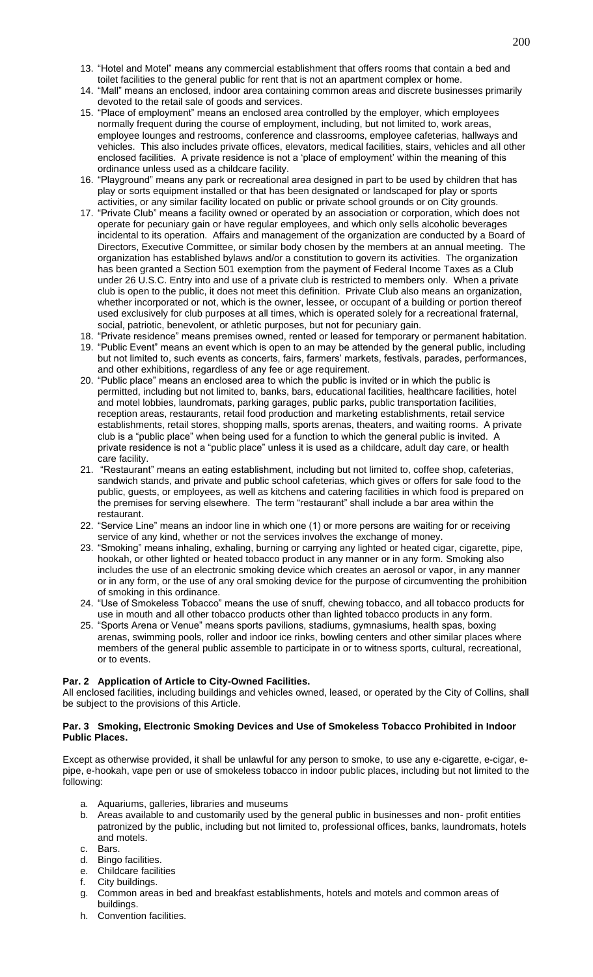- 13. "Hotel and Motel" means any commercial establishment that offers rooms that contain a bed and toilet facilities to the general public for rent that is not an apartment complex or home.
- 14. "Mall" means an enclosed, indoor area containing common areas and discrete businesses primarily devoted to the retail sale of goods and services.
- 15. "Place of employment" means an enclosed area controlled by the employer, which employees normally frequent during the course of employment, including, but not limited to, work areas, employee lounges and restrooms, conference and classrooms, employee cafeterias, hallways and vehicles. This also includes private offices, elevators, medical facilities, stairs, vehicles and all other enclosed facilities. A private residence is not a 'place of employment' within the meaning of this ordinance unless used as a childcare facility.
- 16. "Playground" means any park or recreational area designed in part to be used by children that has play or sorts equipment installed or that has been designated or landscaped for play or sports activities, or any similar facility located on public or private school grounds or on City grounds.
- 17. "Private Club" means a facility owned or operated by an association or corporation, which does not operate for pecuniary gain or have regular employees, and which only sells alcoholic beverages incidental to its operation. Affairs and management of the organization are conducted by a Board of Directors, Executive Committee, or similar body chosen by the members at an annual meeting. The organization has established bylaws and/or a constitution to govern its activities. The organization has been granted a Section 501 exemption from the payment of Federal Income Taxes as a Club under 26 U.S.C. Entry into and use of a private club is restricted to members only. When a private club is open to the public, it does not meet this definition. Private Club also means an organization, whether incorporated or not, which is the owner, lessee, or occupant of a building or portion thereof used exclusively for club purposes at all times, which is operated solely for a recreational fraternal, social, patriotic, benevolent, or athletic purposes, but not for pecuniary gain.
- 18. "Private residence" means premises owned, rented or leased for temporary or permanent habitation.
- 19. "Public Event" means an event which is open to an may be attended by the general public, including but not limited to, such events as concerts, fairs, farmers' markets, festivals, parades, performances, and other exhibitions, regardless of any fee or age requirement.
- 20. "Public place" means an enclosed area to which the public is invited or in which the public is permitted, including but not limited to, banks, bars, educational facilities, healthcare facilities, hotel and motel lobbies, laundromats, parking garages, public parks, public transportation facilities, reception areas, restaurants, retail food production and marketing establishments, retail service establishments, retail stores, shopping malls, sports arenas, theaters, and waiting rooms. A private club is a "public place" when being used for a function to which the general public is invited. A private residence is not a "public place" unless it is used as a childcare, adult day care, or health care facility.
- 21. "Restaurant" means an eating establishment, including but not limited to, coffee shop, cafeterias, sandwich stands, and private and public school cafeterias, which gives or offers for sale food to the public, guests, or employees, as well as kitchens and catering facilities in which food is prepared on the premises for serving elsewhere. The term "restaurant" shall include a bar area within the restaurant.
- 22. "Service Line" means an indoor line in which one (1) or more persons are waiting for or receiving service of any kind, whether or not the services involves the exchange of money.
- 23. "Smoking" means inhaling, exhaling, burning or carrying any lighted or heated cigar, cigarette, pipe, hookah, or other lighted or heated tobacco product in any manner or in any form. Smoking also includes the use of an electronic smoking device which creates an aerosol or vapor, in any manner or in any form, or the use of any oral smoking device for the purpose of circumventing the prohibition of smoking in this ordinance.
- 24. "Use of Smokeless Tobacco" means the use of snuff, chewing tobacco, and all tobacco products for use in mouth and all other tobacco products other than lighted tobacco products in any form.
- 25. "Sports Arena or Venue" means sports pavilions, stadiums, gymnasiums, health spas, boxing arenas, swimming pools, roller and indoor ice rinks, bowling centers and other similar places where members of the general public assemble to participate in or to witness sports, cultural, recreational, or to events.

## **Par. 2 Application of Article to City-Owned Facilities.**

All enclosed facilities, including buildings and vehicles owned, leased, or operated by the City of Collins, shall be subject to the provisions of this Article.

## **Par. 3 Smoking, Electronic Smoking Devices and Use of Smokeless Tobacco Prohibited in Indoor Public Places.**

Except as otherwise provided, it shall be unlawful for any person to smoke, to use any e-cigarette, e-cigar, epipe, e-hookah, vape pen or use of smokeless tobacco in indoor public places, including but not limited to the following:

- a. Aquariums, galleries, libraries and museums
- b. Areas available to and customarily used by the general public in businesses and non- profit entities patronized by the public, including but not limited to, professional offices, banks, laundromats, hotels and motels.
- c. Bars.
- d. Bingo facilities.
- e. Childcare facilities
- f. City buildings.
- g. Common areas in bed and breakfast establishments, hotels and motels and common areas of buildings.
- h. Convention facilities.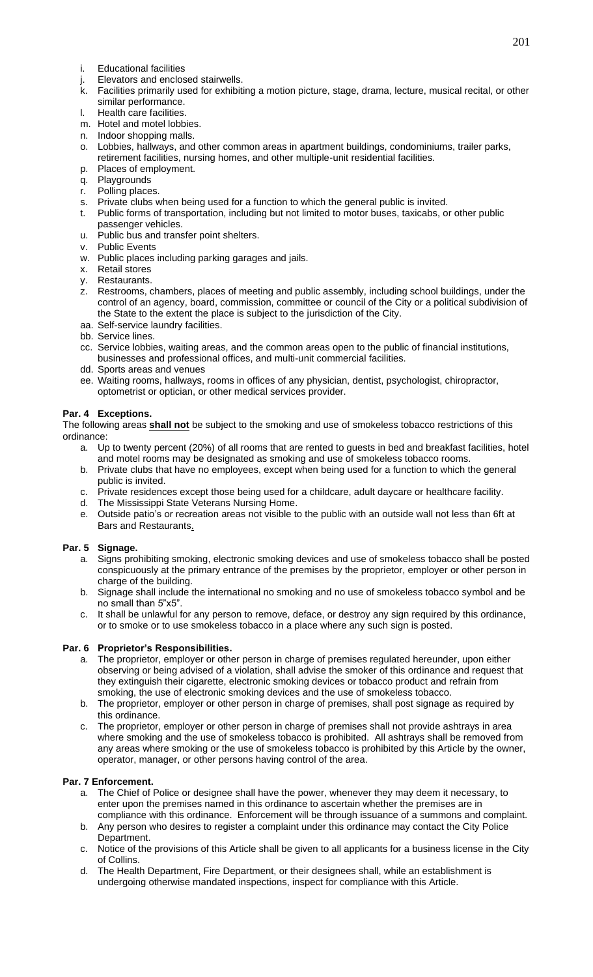- i. Educational facilities
- 
- j. Elevators and enclosed stairwells.<br>k. Facilities primarily used for exhibit Facilities primarily used for exhibiting a motion picture, stage, drama, lecture, musical recital, or other similar performance.
- l. Health care facilities.
- m. Hotel and motel lobbies.
- n. Indoor shopping malls.
- o. Lobbies, hallways, and other common areas in apartment buildings, condominiums, trailer parks, retirement facilities, nursing homes, and other multiple-unit residential facilities.
- p. Places of employment.
- q. Playgrounds
- r. Polling places.
- s. Private clubs when being used for a function to which the general public is invited.<br>t. Public forms of transportation in all the studies which the general public is invited.
- t. Public forms of transportation, including but not limited to motor buses, taxicabs, or other public passenger vehicles.
- u. Public bus and transfer point shelters.
- v. Public Events
- w. Public places including parking garages and jails.
- x. Retail stores
- y. Restaurants.
- z. Restrooms, chambers, places of meeting and public assembly, including school buildings, under the control of an agency, board, commission, committee or council of the City or a political subdivision of the State to the extent the place is subject to the jurisdiction of the City.
- aa. Self-service laundry facilities.
- bb. Service lines.
- cc. Service lobbies, waiting areas, and the common areas open to the public of financial institutions, businesses and professional offices, and multi-unit commercial facilities.
- dd. Sports areas and venues
- ee. Waiting rooms, hallways, rooms in offices of any physician, dentist, psychologist, chiropractor, optometrist or optician, or other medical services provider.

# **Par. 4 Exceptions.**

The following areas **shall not** be subject to the smoking and use of smokeless tobacco restrictions of this ordinance:

- a. Up to twenty percent (20%) of all rooms that are rented to guests in bed and breakfast facilities, hotel and motel rooms may be designated as smoking and use of smokeless tobacco rooms.
- b. Private clubs that have no employees, except when being used for a function to which the general public is invited.
- c. Private residences except those being used for a childcare, adult daycare or healthcare facility.
- d. The Mississippi State Veterans Nursing Home.
- e. Outside patio's or recreation areas not visible to the public with an outside wall not less than 6ft at Bars and Restaurants.

# **Par. 5 Signage.**

- a. Signs prohibiting smoking, electronic smoking devices and use of smokeless tobacco shall be posted conspicuously at the primary entrance of the premises by the proprietor, employer or other person in charge of the building.
- b. Signage shall include the international no smoking and no use of smokeless tobacco symbol and be no small than 5"x5".
- c. It shall be unlawful for any person to remove, deface, or destroy any sign required by this ordinance, or to smoke or to use smokeless tobacco in a place where any such sign is posted.

## **Par. 6 Proprietor's Responsibilities.**

- a. The proprietor, employer or other person in charge of premises regulated hereunder, upon either observing or being advised of a violation, shall advise the smoker of this ordinance and request that they extinguish their cigarette, electronic smoking devices or tobacco product and refrain from smoking, the use of electronic smoking devices and the use of smokeless tobacco.
- b. The proprietor, employer or other person in charge of premises, shall post signage as required by this ordinance.
- c. The proprietor, employer or other person in charge of premises shall not provide ashtrays in area where smoking and the use of smokeless tobacco is prohibited. All ashtrays shall be removed from any areas where smoking or the use of smokeless tobacco is prohibited by this Article by the owner, operator, manager, or other persons having control of the area.

## **Par. 7 Enforcement.**

- a. The Chief of Police or designee shall have the power, whenever they may deem it necessary, to enter upon the premises named in this ordinance to ascertain whether the premises are in compliance with this ordinance. Enforcement will be through issuance of a summons and complaint.
- b. Any person who desires to register a complaint under this ordinance may contact the City Police Department.
- c. Notice of the provisions of this Article shall be given to all applicants for a business license in the City of Collins.
- d. The Health Department, Fire Department, or their designees shall, while an establishment is undergoing otherwise mandated inspections, inspect for compliance with this Article.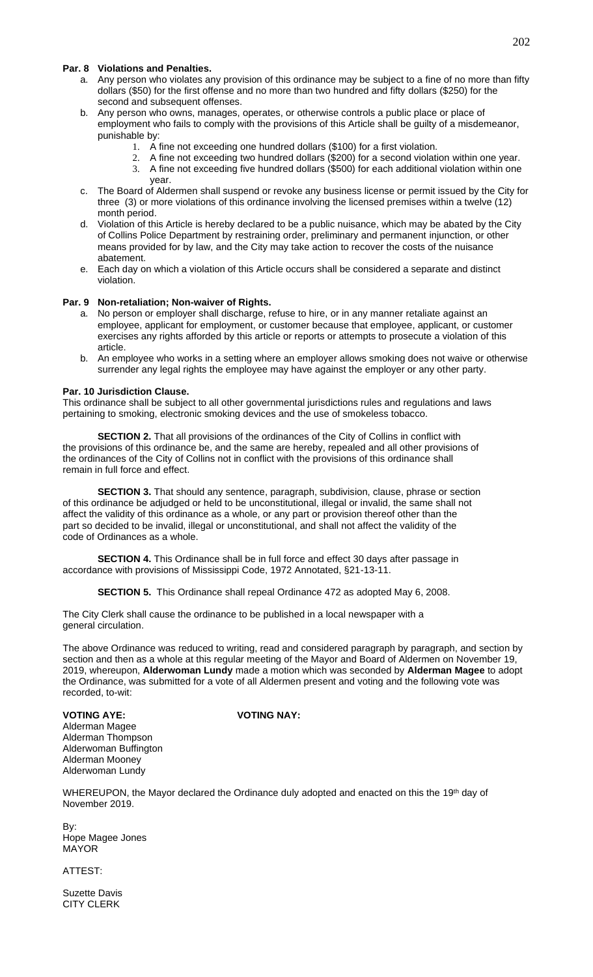## **Par. 8 Violations and Penalties.**

- a. Any person who violates any provision of this ordinance may be subject to a fine of no more than fifty dollars (\$50) for the first offense and no more than two hundred and fifty dollars (\$250) for the second and subsequent offenses.
- b. Any person who owns, manages, operates, or otherwise controls a public place or place of employment who fails to comply with the provisions of this Article shall be guilty of a misdemeanor, punishable by:
	- 1. A fine not exceeding one hundred dollars (\$100) for a first violation.
	- 2. A fine not exceeding two hundred dollars (\$200) for a second violation within one year. 3. A fine not exceeding five hundred dollars (\$500) for each additional violation within one year.
- c. The Board of Aldermen shall suspend or revoke any business license or permit issued by the City for three (3) or more violations of this ordinance involving the licensed premises within a twelve (12) month period.
- d. Violation of this Article is hereby declared to be a public nuisance, which may be abated by the City of Collins Police Department by restraining order, preliminary and permanent injunction, or other means provided for by law, and the City may take action to recover the costs of the nuisance abatement.
- e. Each day on which a violation of this Article occurs shall be considered a separate and distinct violation.

#### **Par. 9 Non-retaliation; Non-waiver of Rights.**

- a. No person or employer shall discharge, refuse to hire, or in any manner retaliate against an employee, applicant for employment, or customer because that employee, applicant, or customer exercises any rights afforded by this article or reports or attempts to prosecute a violation of this article.
- b. An employee who works in a setting where an employer allows smoking does not waive or otherwise surrender any legal rights the employee may have against the employer or any other party.

#### **Par. 10 Jurisdiction Clause.**

This ordinance shall be subject to all other governmental jurisdictions rules and regulations and laws pertaining to smoking, electronic smoking devices and the use of smokeless tobacco.

**SECTION 2.** That all provisions of the ordinances of the City of Collins in conflict with the provisions of this ordinance be, and the same are hereby, repealed and all other provisions of the ordinances of the City of Collins not in conflict with the provisions of this ordinance shall remain in full force and effect.

**SECTION 3.** That should any sentence, paragraph, subdivision, clause, phrase or section of this ordinance be adjudged or held to be unconstitutional, illegal or invalid, the same shall not affect the validity of this ordinance as a whole, or any part or provision thereof other than the part so decided to be invalid, illegal or unconstitutional, and shall not affect the validity of the code of Ordinances as a whole.

**SECTION 4.** This Ordinance shall be in full force and effect 30 days after passage in accordance with provisions of Mississippi Code, 1972 Annotated, §21-13-11.

**SECTION 5.** This Ordinance shall repeal Ordinance 472 as adopted May 6, 2008.

The City Clerk shall cause the ordinance to be published in a local newspaper with a general circulation.

The above Ordinance was reduced to writing, read and considered paragraph by paragraph, and section by section and then as a whole at this regular meeting of the Mayor and Board of Aldermen on November 19, 2019, whereupon, **Alderwoman Lundy** made a motion which was seconded by **Alderman Magee** to adopt the Ordinance, was submitted for a vote of all Aldermen present and voting and the following vote was recorded, to-wit:

Alderman Magee Alderman Thompson Alderwoman Buffington Alderman Mooney Alderwoman Lundy

**VOTING AYE: VOTING NAY:**

WHEREUPON, the Mayor declared the Ordinance duly adopted and enacted on this the 19<sup>th</sup> day of November 2019.

By: Hope Magee Jones MAYOR

ATTEST:

Suzette Davis CITY CLERK